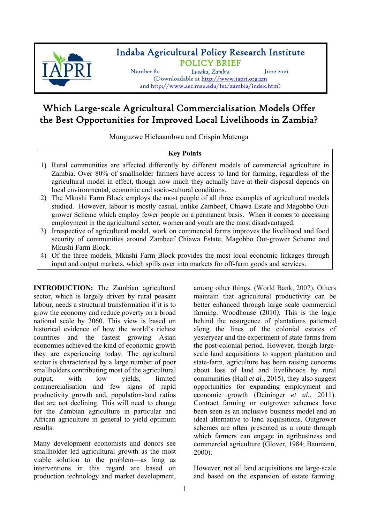

## Indaba Agricultural Policy Research Institute POLICY BRIEF

Number 80 *Lusaka, Zambia* June 2016 (Downloadable at http://www.iapri.org.zm and http://www.aec.msu.edu/fs2/zambia/index.htm)

# Which Large-scale Agricultural Commercialisation Models Offer the Best Opportunities for Improved Local Livelihoods in Zambia?

Munguzwe Hichaambwa and Crispin Matenga

## **Key Points**

- 1) Rural communities are affected differently by different models of commercial agriculture in Zambia. Over 80% of smallholder farmers have access to land for farming, regardless of the agricultural model in effect, though how much they actually have at their disposal depends on local environmental, economic and socio-cultural conditions.
- 2) The Mkushi Farm Block employs the most people of all three examples of agricultural models studied. However, labour is mostly casual, unlike Zambeef, Chiawa Estate and Magobbo Outgrower Scheme which employ fewer people on a permanent basis. When it comes to accessing employment in the agricultural sector, women and youth are the most disadvantaged.
- 3) Irrespective of agricultural model, work on commercial farms improves the livelihood and food security of communities around Zambeef Chiawa Estate, Magobbo Out-grower Scheme and Mkushi Farm Block.
- 4) Of the three models, Mkushi Farm Block provides the most local economic linkages through input and output markets, which spills over into markets for off-farm goods and services.

**INTRODUCTION:** The Zambian agricultural sector, which is largely driven by rural peasant labour, needs a structural transformation if it is to grow the economy and reduce poverty on a broad national scale by 2060. This view is based on historical evidence of how the world's richest countries and the fastest growing Asian economies achieved the kind of economic growth they are experiencing today. The agricultural sector is characterised by a large number of poor smallholders contributing most of the agricultural output, with low yields, limited commercialisation and few signs of rapid productivity growth and, population-land ratios that are not declining. This will need to change for the Zambian agriculture in particular and African agriculture in general to yield optimum results.

Many development economists and donors see smallholder led agricultural growth as the most viable solution to the problem—as long as interventions in this regard are based on production technology and market development,

among other things. (World Bank, 2007). Others maintain that agricultural productivity can be better enhanced through large scale commercial farming. Woodhouse (2010*).* This is the logic behind the resurgence of plantations patterned along the lines of the colonial estates of yesteryear and the experiment of state farms from the post-colonial period. However, though largescale land acquisitions to support plantation and state-farm, agriculture has been raising concerns about loss of land and livelihoods by rural communities (Hall *et al.*, 2015), they also suggest opportunities for expanding employment and economic growth (Deininger *et al.*, 2011). Contract farming or outgrower schemes have been seen as an inclusive business model and an ideal alternative to land acquisitions. Outgrower schemes are often presented as a route through which farmers can engage in agribusiness and commercial agriculture (Glover, 1984; Baumann, 2000).

However, not all land acquisitions are large-scale and based on the expansion of estate farming.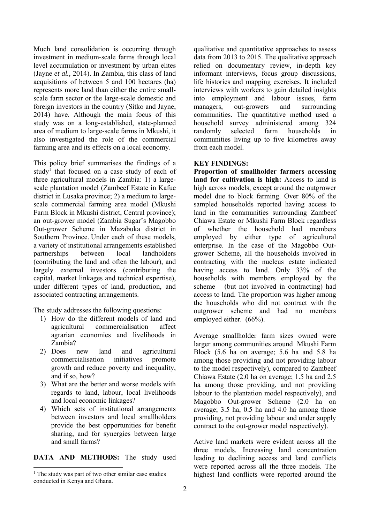Much land consolidation is occurring through investment in medium-scale farms through local level accumulation or investment by urban elites (Jayne *et al.,* 2014). In Zambia, this class of land acquisitions of between 5 and 100 hectares (ha) represents more land than either the entire smallscale farm sector or the large-scale domestic and foreign investors in the country (Sitko and Jayne, 2014) have. Although the main focus of this study was on a long-established, state-planned area of medium to large-scale farms in Mkushi, it also investigated the role of the commercial farming area and its effects on a local economy.

This policy brief summarises the findings of a study<sup>1</sup> that focused on a case study of each of three agricultural models in Zambia: 1) a largescale plantation model (Zambeef Estate in Kafue district in Lusaka province; 2) a medium to largescale commercial farming area model (Mkushi Farm Block in Mkushi district, Central province); an out-grower model (Zambia Sugar's Magobbo Out-grower Scheme in Mazabuka district in Southern Province. Under each of these models, a variety of institutional arrangements established partnerships between local landholders (contributing the land and often the labour), and largely external investors (contributing the capital, market linkages and technical expertise), under different types of land, production, and associated contracting arrangements.

The study addresses the following questions:

- 1) How do the different models of land and agricultural commercialisation affect agrarian economies and livelihoods in Zambia?
- 2) Does new land and agricultural commercialisation initiatives promote growth and reduce poverty and inequality, and if so, how?
- 3) What are the better and worse models with regards to land, labour, local livelihoods and local economic linkages?
- 4) Which sets of institutional arrangements between investors and local smallholders provide the best opportunities for benefit sharing, and for synergies between large and small farms?

**DATA AND METHODS:** The study used

1

qualitative and quantitative approaches to assess data from 2013 to 2015. The qualitative approach relied on documentary review, in-depth key informant interviews, focus group discussions, life histories and mapping exercises. It included interviews with workers to gain detailed insights into employment and labour issues, farm managers, out-growers and surrounding communities. The quantitative method used a household survey administered among 324 randomly selected farm households in communities living up to five kilometres away from each model.

## **KEY FINDINGS:**

**Proportion of smallholder farmers accessing land for cultivation is high:** Access to land is high across models, except around the outgrower model due to block farming. Over 80% of the sampled households reported having access to land in the communities surrounding Zambeef Chiawa Estate or Mkushi Farm Block regardless of whether the household had members employed by either type of agricultural enterprise. In the case of the Magobbo Outgrower Scheme, all the households involved in contracting with the nucleus estate indicated having access to land. Only 33% of the households with members employed by the scheme (but not involved in contracting) had access to land. The proportion was higher among the households who did not contract with the outgrower scheme and had no members employed either. (66%).

Average smallholder farm sizes owned were larger among communities around Mkushi Farm Block (5.6 ha on average; 5.6 ha and 5.8 ha among those providing and not providing labour to the model respectively), compared to Zambeef Chiawa Estate (2.0 ha on average; 1.5 ha and 2.5 ha among those providing, and not providing labour to the plantation model respectively), and Magobbo Out-grower Scheme (2.0 ha on average; 3.5 ha, 0.5 ha and 4.0 ha among those providing, not providing labour and under supply contract to the out-grower model respectively).

Active land markets were evident across all the three models. Increasing land concentration leading to declining access and land conflicts were reported across all the three models. The highest land conflicts were reported around the

<sup>&</sup>lt;sup>1</sup> The study was part of two other similar case studies conducted in Kenya and Ghana.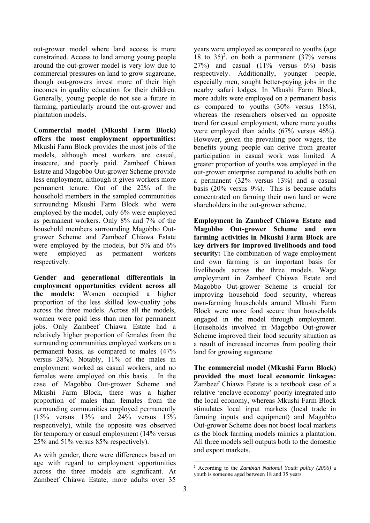out-grower model where land access is more constrained. Access to land among young people around the out-grower model is very low due to commercial pressures on land to grow sugarcane, though out-growers invest more of their high incomes in quality education for their children. Generally, young people do not see a future in farming, particularly around the out-grower and plantation models.

**Commercial model (Mkushi Farm Block) offers the most employment opportunities:**  Mkushi Farm Block provides the most jobs of the models, although most workers are casual, insecure, and poorly paid. Zambeef Chiawa Estate and Magobbo Out-grower Scheme provide less employment, although it gives workers more permanent tenure. Out of the 22% of the household members in the sampled communities surrounding Mkushi Farm Block who were employed by the model, only 6% were employed as permanent workers. Only 8% and 7% of the household members surrounding Magobbo Outgrower Scheme and Zambeef Chiawa Estate were employed by the models, but 5% and 6% were employed as permanent workers respectively.

**Gender and generational differentials in employment opportunities evident across all the models:** Women occupied a higher proportion of the less skilled low-quality jobs across the three models. Across all the models women were paid less than men for permanent jobs. Only Zambeef Chiawa Estate had a relatively higher proportion of females from the surrounding communities employed workers on a permanent basis, as compared to males (47% versus 28%). Notably, 11% of the males in employment worked as casual workers, and no females were employed on this basis. . In the case of Magobbo Out-grower Scheme and Mkushi Farm Block, there was a higher proportion of males than females from the surrounding communities employed permanently (15% versus 13% and 24% versus 15% respectively), while the opposite was observed for temporary or casual employment (14% versus 25% and 51% versus 85% respectively).

As with gender, there were differences based on age with regard to employment opportunities across the three models are significant. At Zambeef Chiawa Estate, more adults over 35 years were employed as compared to youths (age 18 to  $35)^2$ , on both a permanent  $(37\%$  versus  $27\%$ ) and casual  $(11\%$  versus  $6\%$ ) basis respectively. Additionally, younger people, especially men, sought better-paying jobs in the nearby safari lodges. In Mkushi Farm Block, more adults were employed on a permanent basis as compared to youths (30% versus 18%), whereas the researchers observed an opposite trend for casual employment, where more youths were employed than adults (67% versus 46%). However, given the prevailing poor wages, the benefits young people can derive from greater participation in casual work was limited. A greater proportion of youths was employed in the out-grower enterprise compared to adults both on a permanent (32% versus 13%) and a casual basis (20% versus 9%). This is because adults concentrated on farming their own land or were shareholders in the out-grower scheme.

**Employment in Zambeef Chiawa Estate and Magobbo Out-grower Scheme and own farming activities in Mkushi Farm Block are key drivers for improved livelihoods and food security:** The combination of wage employment and own farming is an important basis for livelihoods across the three models. Wage employment in Zambeef Chiawa Estate and Magobbo Out-grower Scheme is crucial for improving household food security, whereas own-farming households around Mkushi Farm Block were more food secure than households engaged in the model through employment. Households involved in Magobbo Out-grower Scheme improved their food security situation as a result of increased incomes from pooling their land for growing sugarcane.

**The commercial model (Mkushi Farm Block) provided the most local economic linkages:**  Zambeef Chiawa Estate is a textbook case of a relative 'enclave economy' poorly integrated into the local economy, whereas Mkushi Farm Block stimulates local input markets (local trade in farming inputs and equipment) and Magobbo Out-grower Scheme does not boost local markets as the block farming models mimics a plantation. All three models sell outputs both to the domestic and export markets.

-

**<sup>2</sup>** According to the *Zambian National Youth policy (2006)* a youth is someone aged between 18 and 35 years.